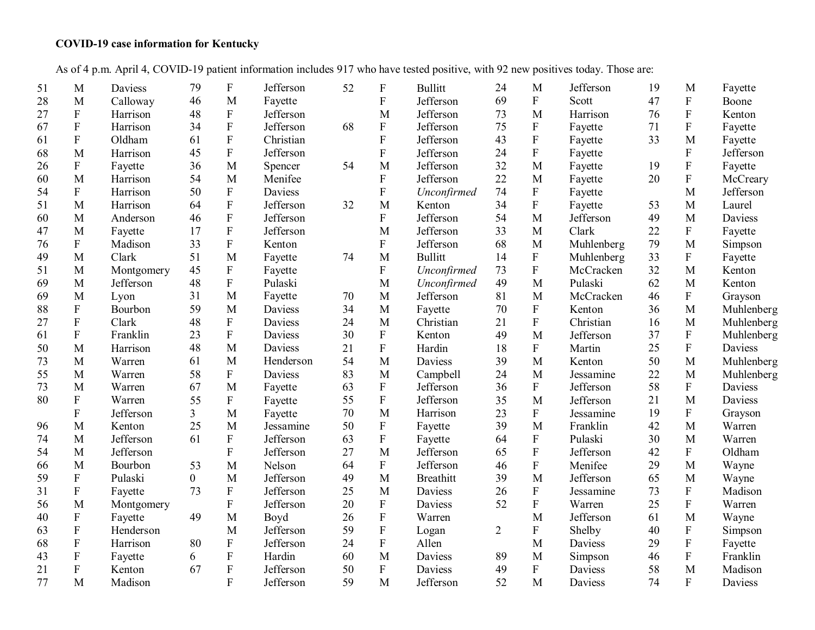## **COVID-19 case information for Kentucky**

As of 4 p.m. April 4, COVID-19 patient information includes 917 who have tested positive, with 92 new positives today. Those are:

| 51 | M                         | Daviess    | 79             | ${\bf F}$                 | Jefferson | 52 | $\boldsymbol{F}$          | <b>Bullitt</b>   | 24             | M                         | Jefferson  | 19 | M                         | Fayette    |
|----|---------------------------|------------|----------------|---------------------------|-----------|----|---------------------------|------------------|----------------|---------------------------|------------|----|---------------------------|------------|
| 28 | M                         | Calloway   | 46             | M                         | Fayette   |    | $\mathbf F$               | Jefferson        | 69             | $\boldsymbol{\mathrm{F}}$ | Scott      | 47 | ${\bf F}$                 | Boone      |
| 27 | $\mathbf F$               | Harrison   | 48             | $\mathbf F$               | Jefferson |    | M                         | Jefferson        | 73             | M                         | Harrison   | 76 | ${\bf F}$                 | Kenton     |
| 67 | ${\bf F}$                 | Harrison   | 34             | ${\bf F}$                 | Jefferson | 68 | ${\bf F}$                 | Jefferson        | 75             | ${\bf F}$                 | Fayette    | 71 | ${\bf F}$                 | Fayette    |
| 61 | $\boldsymbol{\mathrm{F}}$ | Oldham     | 61             | $\boldsymbol{\mathrm{F}}$ | Christian |    | $\rm F$                   | Jefferson        | 43             | $\rm F$                   | Fayette    | 33 | $\mathbf{M}$              | Fayette    |
| 68 | M                         | Harrison   | 45             | ${\bf F}$                 | Jefferson |    | $\overline{F}$            | Jefferson        | 24             | $\mathbf F$               | Fayette    |    | ${\bf F}$                 | Jefferson  |
| 26 | ${\bf F}$                 | Fayette    | 36             | M                         | Spencer   | 54 | M                         | Jefferson        | 32             | M                         | Fayette    | 19 | ${\bf F}$                 | Fayette    |
| 60 | M                         | Harrison   | 54             | M                         | Menifee   |    | $\mathbf F$               | Jefferson        | 22             | M                         | Fayette    | 20 | ${\bf F}$                 | McCreary   |
| 54 | ${\bf F}$                 | Harrison   | 50             | ${\bf F}$                 | Daviess   |    | $\mathbf{F}$              | Unconfirmed      | 74             | ${\bf F}$                 | Fayette    |    | M                         | Jefferson  |
| 51 | M                         | Harrison   | 64             | ${\bf F}$                 | Jefferson | 32 | M                         | Kenton           | 34             | $\boldsymbol{\mathrm{F}}$ | Fayette    | 53 | M                         | Laurel     |
| 60 | M                         | Anderson   | 46             | ${\bf F}$                 | Jefferson |    | $\overline{F}$            | Jefferson        | 54             | M                         | Jefferson  | 49 | M                         | Daviess    |
| 47 | M                         | Fayette    | 17             | $\boldsymbol{\mathrm{F}}$ | Jefferson |    | M                         | Jefferson        | 33             | M                         | Clark      | 22 | $\boldsymbol{\mathrm{F}}$ | Fayette    |
| 76 | ${\bf F}$                 | Madison    | 33             | ${\bf F}$                 | Kenton    |    | ${\bf F}$                 | Jefferson        | 68             | M                         | Muhlenberg | 79 | M                         | Simpson    |
| 49 | M                         | Clark      | 51             | M                         | Fayette   | 74 | M                         | <b>Bullitt</b>   | 14             | $\boldsymbol{\mathrm{F}}$ | Muhlenberg | 33 | ${\bf F}$                 | Fayette    |
| 51 | M                         | Montgomery | 45             | ${\bf F}$                 | Fayette   |    | ${\bf F}$                 | Unconfirmed      | 73             | $\mathbf{F}$              | McCracken  | 32 | M                         | Kenton     |
| 69 | M                         | Jefferson  | 48             | $\boldsymbol{\mathrm{F}}$ | Pulaski   |    | M                         | Unconfirmed      | 49             | M                         | Pulaski    | 62 | M                         | Kenton     |
| 69 | M                         | Lyon       | 31             | M                         | Fayette   | 70 | M                         | Jefferson        | 81             | M                         | McCracken  | 46 | $\mathbf F$               | Grayson    |
| 88 | ${\bf F}$                 | Bourbon    | 59             | M                         | Daviess   | 34 | M                         | Fayette          | 70             | ${\bf F}$                 | Kenton     | 36 | M                         | Muhlenberg |
| 27 | ${\bf F}$                 | Clark      | 48             | ${\bf F}$                 | Daviess   | 24 | M                         | Christian        | 21             | $\mathbf F$               | Christian  | 16 | M                         | Muhlenberg |
| 61 | ${\bf F}$                 | Franklin   | 23             | $\rm F$                   | Daviess   | 30 | ${\bf F}$                 | Kenton           | 49             | M                         | Jefferson  | 37 | ${\bf F}$                 | Muhlenberg |
| 50 | $\mathbf{M}$              | Harrison   | 48             | $\mathbf{M}$              | Daviess   | 21 | ${\bf F}$                 | Hardin           | 18             | ${\bf F}$                 | Martin     | 25 | ${\bf F}$                 | Daviess    |
| 73 | M                         | Warren     | 61             | M                         | Henderson | 54 | M                         | <b>Daviess</b>   | 39             | M                         | Kenton     | 50 | M                         | Muhlenberg |
| 55 | M                         | Warren     | 58             | $\rm F$                   | Daviess   | 83 | M                         | Campbell         | 24             | M                         | Jessamine  | 22 | M                         | Muhlenberg |
| 73 | M                         | Warren     | 67             | M                         | Fayette   | 63 | ${\bf F}$                 | Jefferson        | 36             | ${\bf F}$                 | Jefferson  | 58 | $\mathbf F$               | Daviess    |
| 80 | ${\bf F}$                 | Warren     | 55             | ${\bf F}$                 | Fayette   | 55 | $\rm F$                   | Jefferson        | 35             | M                         | Jefferson  | 21 | M                         | Daviess    |
|    | ${\bf F}$                 | Jefferson  | $\overline{3}$ | M                         | Fayette   | 70 | M                         | Harrison         | 23             | $\mathbf F$               | Jessamine  | 19 | ${\bf F}$                 | Grayson    |
| 96 | M                         | Kenton     | 25             | M                         | Jessamine | 50 | ${\bf F}$                 | Fayette          | 39             | M                         | Franklin   | 42 | M                         | Warren     |
| 74 | M                         | Jefferson  | 61             | ${\bf F}$                 | Jefferson | 63 | ${\bf F}$                 | Fayette          | 64             | ${\bf F}$                 | Pulaski    | 30 | M                         | Warren     |
| 54 | M                         | Jefferson  |                | ${\bf F}$                 | Jefferson | 27 | M                         | Jefferson        | 65             | ${\bf F}$                 | Jefferson  | 42 | $\rm F$                   | Oldham     |
| 66 | M                         | Bourbon    | 53             | M                         | Nelson    | 64 | F                         | Jefferson        | 46             | $\mathbf F$               | Menifee    | 29 | M                         | Wayne      |
| 59 | ${\bf F}$                 | Pulaski    | $\overline{0}$ | M                         | Jefferson | 49 | $\mathbf{M}$              | <b>Breathitt</b> | 39             | M                         | Jefferson  | 65 | M                         | Wayne      |
| 31 | ${\bf F}$                 | Fayette    | 73             | ${\bf F}$                 | Jefferson | 25 | M                         | Daviess          | 26             | ${\bf F}$                 | Jessamine  | 73 | ${\bf F}$                 | Madison    |
| 56 | M                         | Montgomery |                | ${\bf F}$                 | Jefferson | 20 | ${\bf F}$                 | Daviess          | 52             | $\mathbf F$               | Warren     | 25 | $\boldsymbol{\mathrm{F}}$ | Warren     |
| 40 | ${\bf F}$                 | Fayette    | 49             | M                         | Boyd      | 26 | $\boldsymbol{\mathrm{F}}$ | Warren           |                | M                         | Jefferson  | 61 | M                         | Wayne      |
| 63 | ${\bf F}$                 | Henderson  |                | M                         | Jefferson | 59 | ${\bf F}$                 | Logan            | $\overline{c}$ | $\mathbf F$               | Shelby     | 40 | ${\bf F}$                 | Simpson    |
| 68 | $\mathbf F$               | Harrison   | 80             | ${\bf F}$                 | Jefferson | 24 | ${\bf F}$                 | Allen            |                | M                         | Daviess    | 29 | $\boldsymbol{\mathrm{F}}$ | Fayette    |
| 43 | $\boldsymbol{\mathrm{F}}$ | Fayette    | 6              | $\boldsymbol{\mathrm{F}}$ | Hardin    | 60 | M                         | Daviess          | 89             | M                         | Simpson    | 46 | ${\bf F}$                 | Franklin   |
| 21 | ${\bf F}$                 | Kenton     | 67             | ${\bf F}$                 | Jefferson | 50 | ${\bf F}$                 | Daviess          | 49             | $\boldsymbol{\mathrm{F}}$ | Daviess    | 58 | M                         | Madison    |
| 77 | M                         | Madison    |                | $\overline{F}$            | Jefferson | 59 | M                         | Jefferson        | 52             | M                         | Daviess    | 74 | $\mathbf{F}$              | Daviess    |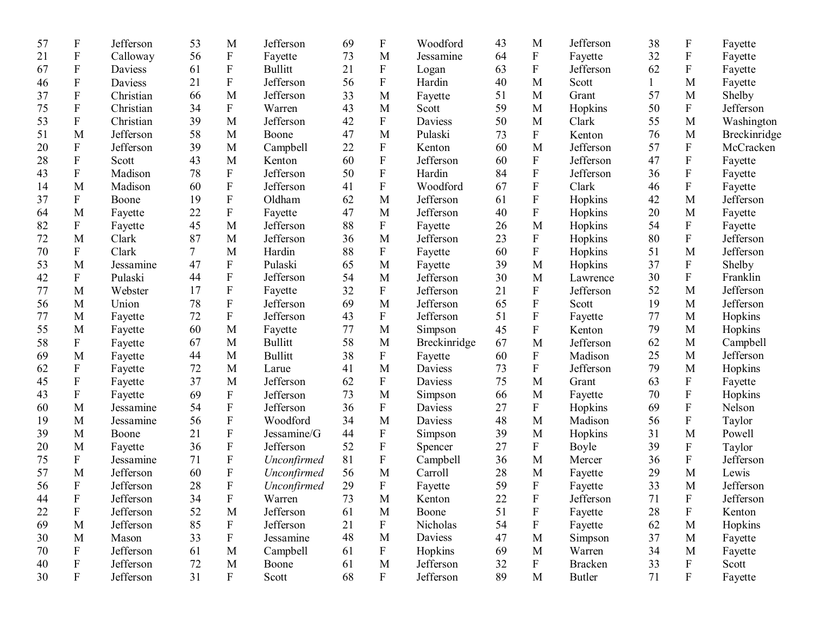| 57 | $\boldsymbol{\mathrm{F}}$ | Jefferson | 53             | M                         | Jefferson      | 69 | $\boldsymbol{\mathrm{F}}$ | Woodford     | 43     | M                         | Jefferson      | 38 | F                         | Fayette      |
|----|---------------------------|-----------|----------------|---------------------------|----------------|----|---------------------------|--------------|--------|---------------------------|----------------|----|---------------------------|--------------|
| 21 | $\boldsymbol{\mathrm{F}}$ | Calloway  | 56             | $\boldsymbol{\mathrm{F}}$ | Fayette        | 73 | M                         | Jessamine    | 64     | F                         | Fayette        | 32 | ${\bf F}$                 | Fayette      |
| 67 | F                         | Daviess   | 61             | $\boldsymbol{\mathrm{F}}$ | <b>Bullitt</b> | 21 | ${\bf F}$                 | Logan        | 63     | $\mathbf F$               | Jefferson      | 62 | $\mathbf{F}$              | Fayette      |
| 46 | ${\bf F}$                 | Daviess   | 21             | ${\bf F}$                 | Jefferson      | 56 | ${\bf F}$                 | Hardin       | 40     | M                         | Scott          | 1  | M                         | Fayette      |
| 37 | F                         | Christian | 66             | M                         | Jefferson      | 33 | M                         | Fayette      | 51     | M                         | Grant          | 57 | M                         | Shelby       |
| 75 | F                         | Christian | 34             | $\boldsymbol{\mathrm{F}}$ | Warren         | 43 | M                         | Scott        | 59     | M                         | Hopkins        | 50 | $\mathbf{F}$              | Jefferson    |
| 53 | ${\bf F}$                 | Christian | 39             | M                         | Jefferson      | 42 | ${\bf F}$                 | Daviess      | 50     | M                         | Clark          | 55 | M                         | Washington   |
| 51 | M                         | Jefferson | 58             | M                         | Boone          | 47 | M                         | Pulaski      | 73     | ${\bf F}$                 | Kenton         | 76 | M                         | Breckinridge |
| 20 | ${\bf F}$                 | Jefferson | 39             | M                         | Campbell       | 22 | $\boldsymbol{\mathrm{F}}$ | Kenton       | 60     | M                         | Jefferson      | 57 | ${\bf F}$                 | McCracken    |
| 28 | ${\bf F}$                 | Scott     | 43             | M                         | Kenton         | 60 | $\mathbf F$               | Jefferson    | 60     | ${\bf F}$                 | Jefferson      | 47 | ${\bf F}$                 | Fayette      |
| 43 | ${\bf F}$                 | Madison   | 78             | ${\bf F}$                 | Jefferson      | 50 | $\boldsymbol{\mathrm{F}}$ | Hardin       | 84     | $\boldsymbol{\mathrm{F}}$ | Jefferson      | 36 | $\boldsymbol{F}$          | Fayette      |
| 14 | M                         | Madison   | 60             | $\boldsymbol{\mathrm{F}}$ | Jefferson      | 41 | ${\bf F}$                 | Woodford     | 67     | ${\bf F}$                 | Clark          | 46 | $\mathbf{F}$              | Fayette      |
| 37 | F                         | Boone     | 19             | $\boldsymbol{\mathrm{F}}$ | Oldham         | 62 | M                         | Jefferson    | 61     | ${\bf F}$                 | Hopkins        | 42 | M                         | Jefferson    |
| 64 | M                         | Fayette   | 22             | ${\bf F}$                 | Fayette        | 47 | M                         | Jefferson    | 40     | ${\bf F}$                 | Hopkins        | 20 | M                         | Fayette      |
| 82 | $\boldsymbol{\mathrm{F}}$ | Fayette   | 45             | M                         | Jefferson      | 88 | $\boldsymbol{\mathrm{F}}$ | Fayette      | 26     | M                         | Hopkins        | 54 | $\mathbf{F}$              | Fayette      |
| 72 | M                         | Clark     | 87             | M                         | Jefferson      | 36 | M                         | Jefferson    | 23     | ${\bf F}$                 | Hopkins        | 80 | ${\bf F}$                 | Jefferson    |
| 70 | $\boldsymbol{\mathrm{F}}$ | Clark     | $\overline{7}$ | M                         | Hardin         | 88 | ${\bf F}$                 | Fayette      | 60     | $\rm F$                   | Hopkins        | 51 | M                         | Jefferson    |
| 53 | M                         | Jessamine | 47             | ${\bf F}$                 | Pulaski        | 65 | $\mathbf{M}$              | Fayette      | 39     | M                         | Hopkins        | 37 | $\boldsymbol{\mathrm{F}}$ | Shelby       |
| 42 | ${\bf F}$                 | Pulaski   | 44             | ${\bf F}$                 | Jefferson      | 54 | M                         | Jefferson    | 30     | M                         | Lawrence       | 30 | ${\bf F}$                 | Franklin     |
| 77 | M                         | Webster   | 17             | ${\bf F}$                 | Fayette        | 32 | ${\bf F}$                 | Jefferson    | 21     | ${\bf F}$                 | Jefferson      | 52 | M                         | Jefferson    |
| 56 | M                         | Union     | 78             | ${\bf F}$                 | Jefferson      | 69 | M                         | Jefferson    | 65     | ${\bf F}$                 | Scott          | 19 | $\mathbf M$               | Jefferson    |
| 77 | M                         | Fayette   | 72             | ${\bf F}$                 | Jefferson      | 43 | $\boldsymbol{\mathrm{F}}$ | Jefferson    | 51     | ${\bf F}$                 | Fayette        | 77 | $\mathbf{M}$              | Hopkins      |
| 55 | M                         | Fayette   | 60             | M                         | Fayette        | 77 | M                         | Simpson      | 45     | $\rm F$                   | Kenton         | 79 | M                         | Hopkins      |
| 58 | $\boldsymbol{\mathrm{F}}$ | Fayette   | 67             | M                         | <b>Bullitt</b> | 58 | M                         | Breckinridge | 67     | M                         | Jefferson      | 62 | M                         | Campbell     |
| 69 | M                         | Fayette   | 44             | M                         | <b>Bullitt</b> | 38 | $\boldsymbol{F}$          | Fayette      | 60     | ${\bf F}$                 | Madison        | 25 | M                         | Jefferson    |
| 62 | ${\bf F}$                 | Fayette   | 72             | M                         | Larue          | 41 | M                         | Daviess      | 73     | ${\bf F}$                 | Jefferson      | 79 | M                         | Hopkins      |
| 45 | ${\bf F}$                 | Fayette   | 37             | M                         | Jefferson      | 62 | ${\bf F}$                 | Daviess      | 75     | M                         | Grant          | 63 | $\boldsymbol{\mathrm{F}}$ | Fayette      |
| 43 | $\mathbf F$               | Fayette   | 69             | ${\bf F}$                 | Jefferson      | 73 | M                         | Simpson      | 66     | M                         | Fayette        | 70 | ${\bf F}$                 | Hopkins      |
| 60 | M                         | Jessamine | 54             | $\boldsymbol{\mathrm{F}}$ | Jefferson      | 36 | $\boldsymbol{\mathrm{F}}$ | Daviess      | 27     | ${\bf F}$                 | Hopkins        | 69 | ${\bf F}$                 | Nelson       |
| 19 | M                         | Jessamine | 56             | $\mathbf F$               | Woodford       | 34 | M                         | Daviess      | 48     | M                         | Madison        | 56 | ${\bf F}$                 | Taylor       |
| 39 | M                         | Boone     | 21             | ${\bf F}$                 | Jessamine/G    | 44 | $\boldsymbol{\mathrm{F}}$ | Simpson      | 39     | M                         | Hopkins        | 31 | M                         | Powell       |
| 20 | M                         | Fayette   | 36             | ${\bf F}$                 | Jefferson      | 52 | $\boldsymbol{\mathrm{F}}$ | Spencer      | 27     | $\boldsymbol{\mathrm{F}}$ | Boyle          | 39 | ${\bf F}$                 | Taylor       |
| 75 | $\boldsymbol{\mathrm{F}}$ | Jessamine | 71             | $\boldsymbol{\mathrm{F}}$ | Unconfirmed    | 81 | $\boldsymbol{\mathrm{F}}$ | Campbell     | 36     | M                         | Mercer         | 36 | ${\bf F}$                 | Jefferson    |
| 57 | M                         | Jefferson | 60             | $\mathbf F$               | Unconfirmed    | 56 | M                         | Carroll      | 28     | M                         | Fayette        | 29 | M                         | Lewis        |
| 56 | ${\bf F}$                 | Jefferson | 28             | ${\bf F}$                 | Unconfirmed    | 29 | ${\bf F}$                 | Fayette      | 59     | ${\bf F}$                 | Fayette        | 33 | M                         | Jefferson    |
| 44 | $\boldsymbol{\mathrm{F}}$ | Jefferson | 34             | $\boldsymbol{\mathrm{F}}$ | Warren         | 73 | $\mathbf M$               | Kenton       | $22\,$ | $\mathbf F$               | Jefferson      | 71 | $\mathbf{F}$              | Jefferson    |
| 22 | $\boldsymbol{\mathrm{F}}$ | Jefferson | 52             | M                         | Jefferson      | 61 | M                         | Boone        | 51     | $\boldsymbol{\mathrm{F}}$ | Fayette        | 28 | $\boldsymbol{\mathrm{F}}$ | Kenton       |
| 69 | $\mathbf{M}$              | Jefferson | 85             | $\boldsymbol{\mathrm{F}}$ | Jefferson      | 21 | $\boldsymbol{\mathrm{F}}$ | Nicholas     | 54     | $\boldsymbol{\mathrm{F}}$ | Fayette        | 62 | M                         | Hopkins      |
| 30 | M                         | Mason     | 33             | ${\bf F}$                 | Jessamine      | 48 | M                         | Daviess      | 47     | M                         | Simpson        | 37 | M                         | Fayette      |
| 70 | $\boldsymbol{\mathrm{F}}$ | Jefferson | 61             | M                         | Campbell       | 61 | F                         | Hopkins      | 69     | $\mathbf{M}$              | Warren         | 34 | M                         | Fayette      |
| 40 | $\mathbf F$               | Jefferson | 72             | M                         | Boone          | 61 | M                         | Jefferson    | 32     | $\mathbf{F}$              | <b>Bracken</b> | 33 | $\mathbf F$               | Scott        |
| 30 | $\mathbf F$               | Jefferson | 31             | $\boldsymbol{F}$          | Scott          | 68 | $\mathbf F$               | Jefferson    | 89     | $\mathbf M$               | <b>Butler</b>  | 71 | $\mathbf F$               | Fayette      |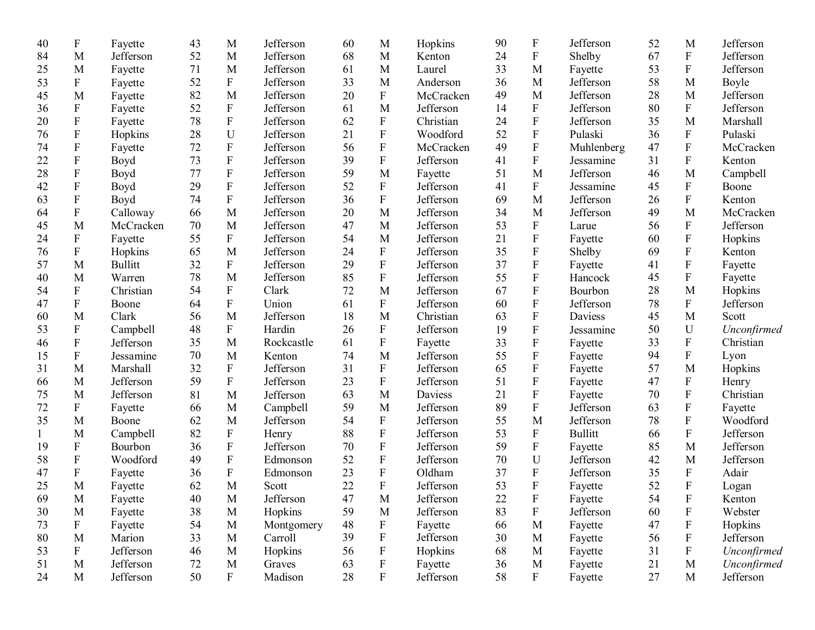| 40 | $\boldsymbol{\mathrm{F}}$ | Fayette        | 43 | M                         | Jefferson  | 60     | M                         | Hopkins   | 90 | $\boldsymbol{\mathrm{F}}$ | Jefferson      | 52 | M                         | Jefferson   |
|----|---------------------------|----------------|----|---------------------------|------------|--------|---------------------------|-----------|----|---------------------------|----------------|----|---------------------------|-------------|
| 84 | M                         | Jefferson      | 52 | M                         | Jefferson  | 68     | M                         | Kenton    | 24 | ${\bf F}$                 | Shelby         | 67 | $\mathbf F$               | Jefferson   |
| 25 | M                         | Fayette        | 71 | M                         | Jefferson  | 61     | $\mathbf{M}$              | Laurel    | 33 | M                         | Fayette        | 53 | ${\bf F}$                 | Jefferson   |
| 53 | F                         | Fayette        | 52 | $\boldsymbol{\mathrm{F}}$ | Jefferson  | 33     | M                         | Anderson  | 36 | M                         | Jefferson      | 58 | M                         | Boyle       |
| 45 | M                         | Fayette        | 82 | M                         | Jefferson  | 20     | ${\bf F}$                 | McCracken | 49 | M                         | Jefferson      | 28 | M                         | Jefferson   |
| 36 | ${\bf F}$                 | Fayette        | 52 | ${\bf F}$                 | Jefferson  | 61     | M                         | Jefferson | 14 | ${\bf F}$                 | Jefferson      | 80 | $\mathbf{F}$              | Jefferson   |
| 20 | ${\bf F}$                 | Fayette        | 78 | $\boldsymbol{\mathrm{F}}$ | Jefferson  | 62     | $\boldsymbol{\mathrm{F}}$ | Christian | 24 | ${\bf F}$                 | Jefferson      | 35 | M                         | Marshall    |
| 76 | ${\bf F}$                 | Hopkins        | 28 | ${\bf U}$                 | Jefferson  | 21     | ${\bf F}$                 | Woodford  | 52 | ${\bf F}$                 | Pulaski        | 36 | ${\bf F}$                 | Pulaski     |
| 74 | ${\bf F}$                 | Fayette        | 72 | ${\bf F}$                 | Jefferson  | 56     | ${\bf F}$                 | McCracken | 49 | ${\bf F}$                 | Muhlenberg     | 47 | ${\bf F}$                 | McCracken   |
| 22 | ${\bf F}$                 | Boyd           | 73 | ${\bf F}$                 | Jefferson  | 39     | ${\bf F}$                 | Jefferson | 41 | ${\bf F}$                 | Jessamine      | 31 | ${\bf F}$                 | Kenton      |
| 28 | ${\bf F}$                 | Boyd           | 77 | ${\bf F}$                 | Jefferson  | 59     | M                         | Fayette   | 51 | M                         | Jefferson      | 46 | M                         | Campbell    |
| 42 | ${\bf F}$                 | Boyd           | 29 | ${\bf F}$                 | Jefferson  | 52     | $\boldsymbol{\mathrm{F}}$ | Jefferson | 41 | ${\bf F}$                 | Jessamine      | 45 | F                         | Boone       |
| 63 | ${\bf F}$                 | Boyd           | 74 | ${\bf F}$                 | Jefferson  | 36     | ${\bf F}$                 | Jefferson | 69 | M                         | Jefferson      | 26 | ${\bf F}$                 | Kenton      |
| 64 | ${\bf F}$                 | Calloway       | 66 | M                         | Jefferson  | 20     | M                         | Jefferson | 34 | M                         | Jefferson      | 49 | M                         | McCracken   |
| 45 | M                         | McCracken      | 70 | M                         | Jefferson  | 47     | M                         | Jefferson | 53 | ${\bf F}$                 | Larue          | 56 | ${\bf F}$                 | Jefferson   |
| 24 | F                         | Fayette        | 55 | ${\bf F}$                 | Jefferson  | 54     | M                         | Jefferson | 21 | ${\bf F}$                 | Fayette        | 60 | ${\bf F}$                 | Hopkins     |
| 76 | ${\bf F}$                 | Hopkins        | 65 | M                         | Jefferson  | 24     | $\boldsymbol{\mathrm{F}}$ | Jefferson | 35 | ${\bf F}$                 | Shelby         | 69 | $\mathbf F$               | Kenton      |
| 57 | M                         | <b>Bullitt</b> | 32 | ${\bf F}$                 | Jefferson  | 29     | ${\bf F}$                 | Jefferson | 37 | ${\bf F}$                 | Fayette        | 41 | ${\bf F}$                 | Fayette     |
| 40 | M                         | Warren         | 78 | M                         | Jefferson  | 85     | ${\bf F}$                 | Jefferson | 55 | ${\bf F}$                 | Hancock        | 45 | F                         | Fayette     |
| 54 | ${\bf F}$                 | Christian      | 54 | ${\bf F}$                 | Clark      | 72     | M                         | Jefferson | 67 | ${\bf F}$                 | Bourbon        | 28 | $\mathbf{M}$              | Hopkins     |
| 47 | $\boldsymbol{\mathrm{F}}$ | Boone          | 64 | ${\bf F}$                 | Union      | 61     | ${\bf F}$                 | Jefferson | 60 | ${\bf F}$                 | Jefferson      | 78 | $\mathbf{F}$              | Jefferson   |
| 60 | M                         | Clark          | 56 | M                         | Jefferson  | 18     | M                         | Christian | 63 | ${\bf F}$                 | Daviess        | 45 | M                         | Scott       |
| 53 | F                         | Campbell       | 48 | ${\bf F}$                 | Hardin     | 26     | ${\bf F}$                 | Jefferson | 19 | ${\bf F}$                 | Jessamine      | 50 | U                         | Unconfirmed |
| 46 | ${\bf F}$                 | Jefferson      | 35 | M                         | Rockcastle | 61     | ${\bf F}$                 | Fayette   | 33 | ${\bf F}$                 | Fayette        | 33 | ${\bf F}$                 | Christian   |
| 15 | ${\bf F}$                 | Jessamine      | 70 | M                         | Kenton     | 74     | M                         | Jefferson | 55 | ${\bf F}$                 | Fayette        | 94 | $\mathbf F$               | Lyon        |
| 31 | M                         | Marshall       | 32 | ${\bf F}$                 | Jefferson  | 31     | ${\bf F}$                 | Jefferson | 65 | ${\bf F}$                 | Fayette        | 57 | M                         | Hopkins     |
| 66 | M                         | Jefferson      | 59 | ${\bf F}$                 | Jefferson  | 23     | ${\bf F}$                 | Jefferson | 51 | ${\bf F}$                 | Fayette        | 47 | $\boldsymbol{\mathrm{F}}$ | Henry       |
| 75 | M                         | Jefferson      | 81 | M                         | Jefferson  | 63     | M                         | Daviess   | 21 | ${\bf F}$                 | Fayette        | 70 | ${\bf F}$                 | Christian   |
| 72 | $\boldsymbol{\mathrm{F}}$ | Fayette        | 66 | M                         | Campbell   | 59     | M                         | Jefferson | 89 | $\rm F$                   | Jefferson      | 63 | ${\bf F}$                 | Fayette     |
| 35 | M                         | Boone          | 62 | M                         | Jefferson  | 54     | ${\bf F}$                 | Jefferson | 55 | M                         | Jefferson      | 78 | $\mathbf F$               | Woodford    |
|    | M                         | Campbell       | 82 | $\boldsymbol{\mathrm{F}}$ | Henry      | 88     | $\rm F$                   | Jefferson | 53 | ${\bf F}$                 | <b>Bullitt</b> | 66 | ${\bf F}$                 | Jefferson   |
| 19 | $\boldsymbol{\mathrm{F}}$ | Bourbon        | 36 | ${\bf F}$                 | Jefferson  | 70     | ${\bf F}$                 | Jefferson | 59 | ${\bf F}$                 | Fayette        | 85 | M                         | Jefferson   |
| 58 | ${\bf F}$                 | Woodford       | 49 | ${\bf F}$                 | Edmonson   | 52     | ${\bf F}$                 | Jefferson | 70 | U                         | Jefferson      | 42 | M                         | Jefferson   |
| 47 | $\mathbf F$               | Fayette        | 36 | ${\bf F}$                 | Edmonson   | 23     | ${\bf F}$                 | Oldham    | 37 | ${\bf F}$                 | Jefferson      | 35 | ${\bf F}$                 | Adair       |
| 25 | M                         | Fayette        | 62 | $\mathbf M$               | Scott      | 22     | ${\bf F}$                 | Jefferson | 53 | ${\bf F}$                 | Fayette        | 52 | ${\bf F}$                 | Logan       |
| 69 | M                         | Fayette        | 40 | $\mathbf M$               | Jefferson  | $47\,$ | $\mathbf M$               | Jefferson | 22 | $\mathbf F$               | Fayette        | 54 | $\mathbf{F}$              | Kenton      |
| 30 | M                         | Fayette        | 38 | M                         | Hopkins    | 59     | M                         | Jefferson | 83 | ${\bf F}$                 | Jefferson      | 60 | $\boldsymbol{\mathrm{F}}$ | Webster     |
| 73 | $\boldsymbol{\mathrm{F}}$ | Fayette        | 54 | $\mathbf{M}$              | Montgomery | 48     | $\boldsymbol{\mathrm{F}}$ | Fayette   | 66 | $\mathbf M$               | Fayette        | 47 | $\boldsymbol{\mathrm{F}}$ | Hopkins     |
| 80 | M                         | Marion         | 33 | M                         | Carroll    | 39     | $\boldsymbol{\mathrm{F}}$ | Jefferson | 30 | $\mathbf M$               | Fayette        | 56 | $\boldsymbol{\mathrm{F}}$ | Jefferson   |
| 53 | F                         | Jefferson      | 46 | M                         | Hopkins    | 56     | $\boldsymbol{\mathrm{F}}$ | Hopkins   | 68 | $\mathbf M$               | Fayette        | 31 | $\boldsymbol{\mathrm{F}}$ | Unconfirmed |
| 51 | M                         | Jefferson      | 72 | M                         | Graves     | 63     | $\boldsymbol{\mathrm{F}}$ | Fayette   | 36 | M                         | Fayette        | 21 | M                         | Unconfirmed |
| 24 | M                         | Jefferson      | 50 | $\boldsymbol{F}$          | Madison    | 28     | F                         | Jefferson | 58 | $\mathbf F$               | Fayette        | 27 | M                         | Jefferson   |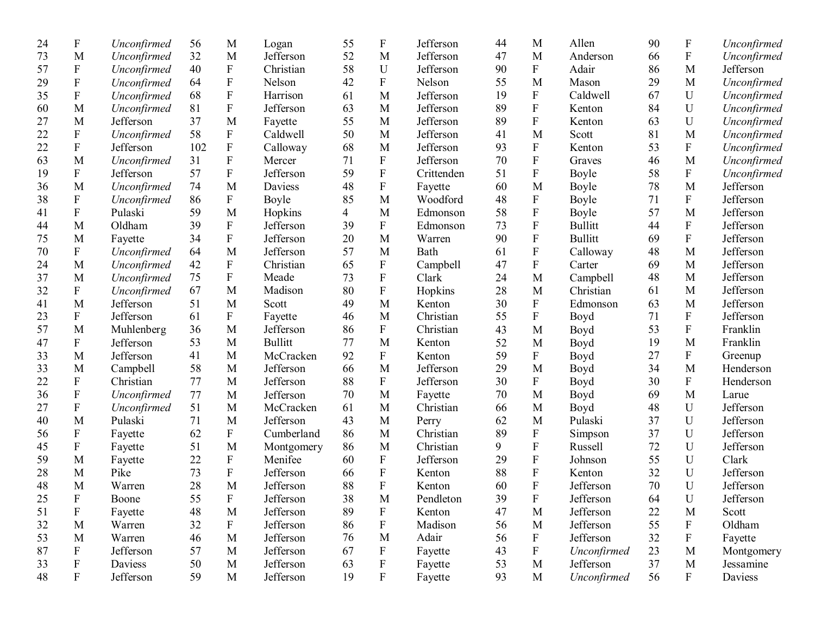| 24 | $\boldsymbol{\mathrm{F}}$ | Unconfirmed | 56  | M                         | Logan          | 55             | $\boldsymbol{\mathrm{F}}$ | Jefferson  | 44 | M                         | Allen          | 90 | F                         | Unconfirmed |
|----|---------------------------|-------------|-----|---------------------------|----------------|----------------|---------------------------|------------|----|---------------------------|----------------|----|---------------------------|-------------|
| 73 | M                         | Unconfirmed | 32  | M                         | Jefferson      | 52             | M                         | Jefferson  | 47 | M                         | Anderson       | 66 | ${\bf F}$                 | Unconfirmed |
| 57 | ${\bf F}$                 | Unconfirmed | 40  | ${\bf F}$                 | Christian      | 58             | ${\bf U}$                 | Jefferson  | 90 | $\mathbf F$               | Adair          | 86 | M                         | Jefferson   |
| 29 | ${\bf F}$                 | Unconfirmed | 64  | ${\bf F}$                 | Nelson         | 42             | $\boldsymbol{\mathrm{F}}$ | Nelson     | 55 | M                         | Mason          | 29 | M                         | Unconfirmed |
| 35 | ${\bf F}$                 | Unconfirmed | 68  | ${\bf F}$                 | Harrison       | 61             | M                         | Jefferson  | 19 | ${\bf F}$                 | Caldwell       | 67 | $\mathbf U$               | Unconfirmed |
| 60 | M                         | Unconfirmed | 81  | ${\bf F}$                 | Jefferson      | 63             | M                         | Jefferson  | 89 | $\mathbf F$               | Kenton         | 84 | U                         | Unconfirmed |
| 27 | M                         | Jefferson   | 37  | M                         | Fayette        | 55             | M                         | Jefferson  | 89 | ${\bf F}$                 | Kenton         | 63 | U                         | Unconfirmed |
| 22 | ${\bf F}$                 | Unconfirmed | 58  | ${\bf F}$                 | Caldwell       | 50             | M                         | Jefferson  | 41 | M                         | Scott          | 81 | M                         | Unconfirmed |
| 22 | ${\bf F}$                 | Jefferson   | 102 | ${\bf F}$                 | Calloway       | 68             | M                         | Jefferson  | 93 | ${\bf F}$                 | Kenton         | 53 | $\boldsymbol{\mathrm{F}}$ | Unconfirmed |
| 63 | M                         | Unconfirmed | 31  | ${\bf F}$                 | Mercer         | 71             | ${\bf F}$                 | Jefferson  | 70 | ${\bf F}$                 | Graves         | 46 | M                         | Unconfirmed |
| 19 | ${\bf F}$                 | Jefferson   | 57  | ${\bf F}$                 | Jefferson      | 59             | ${\bf F}$                 | Crittenden | 51 | ${\bf F}$                 | Boyle          | 58 | ${\bf F}$                 | Unconfirmed |
| 36 | M                         | Unconfirmed | 74  | M                         | Daviess        | 48             | $\boldsymbol{\mathrm{F}}$ | Fayette    | 60 | M                         | Boyle          | 78 | M                         | Jefferson   |
| 38 | ${\bf F}$                 | Unconfirmed | 86  | ${\bf F}$                 | Boyle          | 85             | M                         | Woodford   | 48 | ${\bf F}$                 | Boyle          | 71 | ${\bf F}$                 | Jefferson   |
| 41 | ${\bf F}$                 | Pulaski     | 59  | M                         | Hopkins        | $\overline{4}$ | M                         | Edmonson   | 58 | $\mathbf F$               | Boyle          | 57 | M                         | Jefferson   |
| 44 | M                         | Oldham      | 39  | ${\bf F}$                 | Jefferson      | 39             | $\boldsymbol{\mathrm{F}}$ | Edmonson   | 73 | $\boldsymbol{\mathrm{F}}$ | <b>Bullitt</b> | 44 | ${\bf F}$                 | Jefferson   |
| 75 | M                         | Fayette     | 34  | ${\bf F}$                 | Jefferson      | 20             | M                         | Warren     | 90 | ${\bf F}$                 | <b>Bullitt</b> | 69 | ${\bf F}$                 | Jefferson   |
| 70 | ${\bf F}$                 | Unconfirmed | 64  | M                         | Jefferson      | 57             | M                         | Bath       | 61 | ${\bf F}$                 | Calloway       | 48 | M                         | Jefferson   |
| 24 | M                         | Unconfirmed | 42  | ${\bf F}$                 | Christian      | 65             | ${\bf F}$                 | Campbell   | 47 | $\boldsymbol{\mathrm{F}}$ | Carter         | 69 | M                         | Jefferson   |
| 37 | M                         | Unconfirmed | 75  | ${\bf F}$                 | Meade          | 73             | ${\bf F}$                 | Clark      | 24 | M                         | Campbell       | 48 | M                         | Jefferson   |
| 32 | $\boldsymbol{\mathrm{F}}$ | Unconfirmed | 67  | M                         | Madison        | 80             | ${\bf F}$                 | Hopkins    | 28 | M                         | Christian      | 61 | M                         | Jefferson   |
| 41 | M                         | Jefferson   | 51  | M                         | Scott          | 49             | M                         | Kenton     | 30 | ${\bf F}$                 | Edmonson       | 63 | M                         | Jefferson   |
| 23 | ${\bf F}$                 | Jefferson   | 61  | F                         | Fayette        | 46             | M                         | Christian  | 55 | $\mathbf F$               | Boyd           | 71 | ${\bf F}$                 | Jefferson   |
| 57 | M                         | Muhlenberg  | 36  | M                         | Jefferson      | 86             | F                         | Christian  | 43 | M                         | Boyd           | 53 | ${\bf F}$                 | Franklin    |
| 47 | $\boldsymbol{\mathrm{F}}$ | Jefferson   | 53  | M                         | <b>Bullitt</b> | 77             | M                         | Kenton     | 52 | M                         | Boyd           | 19 | M                         | Franklin    |
| 33 | M                         | Jefferson   | 41  | M                         | McCracken      | 92             | F                         | Kenton     | 59 | ${\bf F}$                 | Boyd           | 27 | $\boldsymbol{F}$          | Greenup     |
| 33 | M                         | Campbell    | 58  | M                         | Jefferson      | 66             | M                         | Jefferson  | 29 | M                         | Boyd           | 34 | M                         | Henderson   |
| 22 | ${\bf F}$                 | Christian   | 77  | M                         | Jefferson      | 88             | $\boldsymbol{\mathrm{F}}$ | Jefferson  | 30 | F                         | Boyd           | 30 | ${\bf F}$                 | Henderson   |
| 36 | ${\bf F}$                 | Unconfirmed | 77  | M                         | Jefferson      | 70             | M                         | Fayette    | 70 | M                         | Boyd           | 69 | M                         | Larue       |
| 27 | $\boldsymbol{\mathrm{F}}$ | Unconfirmed | 51  | M                         | McCracken      | 61             | M                         | Christian  | 66 | M                         | Boyd           | 48 | U                         | Jefferson   |
| 40 | M                         | Pulaski     | 71  | M                         | Jefferson      | 43             | M                         | Perry      | 62 | M                         | Pulaski        | 37 | U                         | Jefferson   |
| 56 | ${\bf F}$                 | Fayette     | 62  | ${\bf F}$                 | Cumberland     | 86             | M                         | Christian  | 89 | ${\bf F}$                 | Simpson        | 37 | U                         | Jefferson   |
| 45 | ${\bf F}$                 | Fayette     | 51  | M                         | Montgomery     | 86             | M                         | Christian  | 9  | $\mathbf F$               | Russell        | 72 | $\mathbf U$               | Jefferson   |
| 59 | M                         | Fayette     | 22  | $\boldsymbol{\mathrm{F}}$ | Menifee        | 60             | $\mathbf F$               | Jefferson  | 29 | ${\bf F}$                 | Johnson        | 55 | U                         | Clark       |
| 28 | M                         | Pike        | 73  | ${\bf F}$                 | Jefferson      | 66             | $\boldsymbol{\mathrm{F}}$ | Kenton     | 88 | ${\bf F}$                 | Kenton         | 32 | U                         | Jefferson   |
| 48 | M                         | Warren      | 28  | M                         | Jefferson      | 88             | ${\bf F}$                 | Kenton     | 60 | $\overline{F}$            | Jefferson      | 70 | U                         | Jefferson   |
| 25 | $\mathbf{F}$              | Boone       | 55  | $\boldsymbol{\mathrm{F}}$ | Jefferson      | 38             | M                         | Pendleton  | 39 | $\, {\bf F}$              | Jefferson      | 64 | $\mathbf U$               | Jefferson   |
| 51 | $\boldsymbol{\mathrm{F}}$ | Fayette     | 48  | M                         | Jefferson      | 89             | $\boldsymbol{\mathrm{F}}$ | Kenton     | 47 | M                         | Jefferson      | 22 | M                         | Scott       |
| 32 | M                         | Warren      | 32  | ${\bf F}$                 | Jefferson      | 86             | ${\bf F}$                 | Madison    | 56 | M                         | Jefferson      | 55 | F                         | Oldham      |
| 53 | M                         | Warren      | 46  | M                         | Jefferson      | 76             | M                         | Adair      | 56 | $\mathbf F$               | Jefferson      | 32 | F                         | Fayette     |
| 87 | $\boldsymbol{\mathrm{F}}$ | Jefferson   | 57  | M                         | Jefferson      | 67             | $\boldsymbol{\mathrm{F}}$ | Fayette    | 43 | ${\bf F}$                 | Unconfirmed    | 23 | M                         | Montgomery  |
| 33 | $\boldsymbol{\mathrm{F}}$ | Daviess     | 50  | M                         | Jefferson      | 63             | $\boldsymbol{\mathrm{F}}$ | Fayette    | 53 | M                         | Jefferson      | 37 | M                         | Jessamine   |
| 48 | $\mathbf F$               | Jefferson   | 59  | M                         | Jefferson      | 19             | $\boldsymbol{\mathrm{F}}$ | Fayette    | 93 | $\mathbf M$               | Unconfirmed    | 56 | $\mathbf{F}$              | Daviess     |